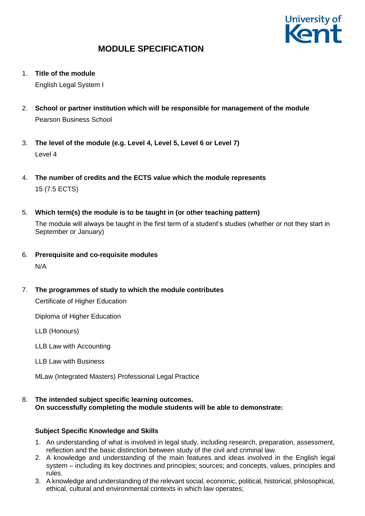

1. **Title of the module**

English Legal System I

- 2. **School or partner institution which will be responsible for management of the module** Pearson Business School
- 3. **The level of the module (e.g. Level 4, Level 5, Level 6 or Level 7)** Level 4
- 4. **The number of credits and the ECTS value which the module represents**  15 (7.5 ECTS)
- 5. **Which term(s) the module is to be taught in (or other teaching pattern)**

The module will always be taught in the first term of a student's studies (whether or not they start in September or January)

- 6. **Prerequisite and co-requisite modules** N/A
- 7. **The programmes of study to which the module contributes**

Certificate of Higher Education

Diploma of Higher Education

LLB (Honours)

LLB Law with Accounting

LLB Law with Business

MLaw (Integrated Masters) Professional Legal Practice

8. **The intended subject specific learning outcomes. On successfully completing the module students will be able to demonstrate:**

### **Subject Specific Knowledge and Skills**

- 1. An understanding of what is involved in legal study, including research, preparation, assessment, reflection and the basic distinction between study of the civil and criminal law.
- 2. A knowledge and understanding of the main features and ideas involved in the English legal system – including its key doctrines and principles; sources; and concepts, values, principles and rules.
- 3. A knowledge and understanding of the relevant social, economic, political, historical, philosophical, ethical, cultural and environmental contexts in which law operates;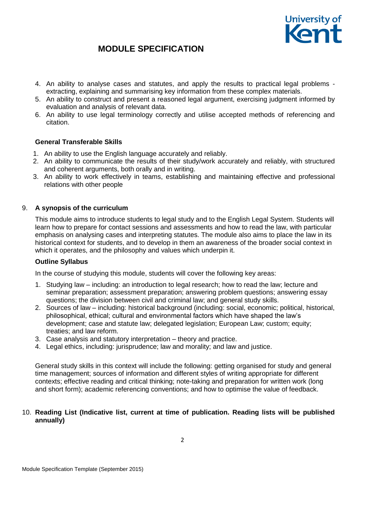

- 4. An ability to analyse cases and statutes, and apply the results to practical legal problems extracting, explaining and summarising key information from these complex materials.
- 5. An ability to construct and present a reasoned legal argument, exercising judgment informed by evaluation and analysis of relevant data.
- 6. An ability to use legal terminology correctly and utilise accepted methods of referencing and citation.

### **General Transferable Skills**

- 1. An ability to use the English language accurately and reliably.
- 2. An ability to communicate the results of their study/work accurately and reliably, with structured and coherent arguments, both orally and in writing.
- 3. An ability to work effectively in teams, establishing and maintaining effective and professional relations with other people

### 9. **A synopsis of the curriculum**

This module aims to introduce students to legal study and to the English Legal System. Students will learn how to prepare for contact sessions and assessments and how to read the law, with particular emphasis on analysing cases and interpreting statutes. The module also aims to place the law in its historical context for students, and to develop in them an awareness of the broader social context in which it operates, and the philosophy and values which underpin it.

#### **Outline Syllabus**

In the course of studying this module, students will cover the following key areas:

- 1. Studying law including: an introduction to legal research; how to read the law; lecture and seminar preparation; assessment preparation; answering problem questions; answering essay questions; the division between civil and criminal law; and general study skills.
- 2. Sources of law including: historical background (including: social, economic; political, historical, philosophical, ethical; cultural and environmental factors which have shaped the law's development; case and statute law; delegated legislation; European Law; custom; equity; treaties; and law reform.
- 3. Case analysis and statutory interpretation theory and practice.
- 4. Legal ethics, including: jurisprudence; law and morality; and law and justice.

General study skills in this context will include the following: getting organised for study and general time management; sources of information and different styles of writing appropriate for different contexts; effective reading and critical thinking; note-taking and preparation for written work (long and short form); academic referencing conventions; and how to optimise the value of feedback.

#### 10. **Reading List (Indicative list, current at time of publication. Reading lists will be published annually)**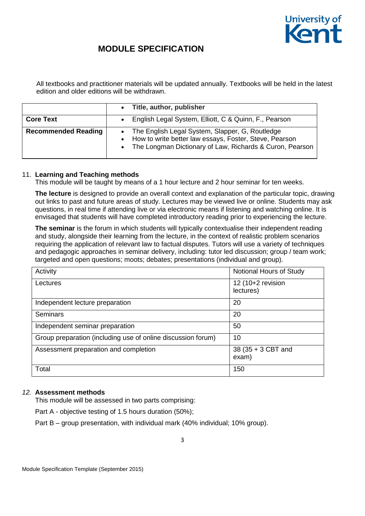

All textbooks and practitioner materials will be updated annually. Textbooks will be held in the latest edition and older editions will be withdrawn.

|                            | Title, author, publisher                                                                                                                                                    |
|----------------------------|-----------------------------------------------------------------------------------------------------------------------------------------------------------------------------|
| <b>Core Text</b>           | • English Legal System, Elliott, C & Quinn, F., Pearson                                                                                                                     |
| <b>Recommended Reading</b> | • The English Legal System, Slapper, G, Routledge<br>• How to write better law essays, Foster, Steve, Pearson<br>• The Longman Dictionary of Law, Richards & Curon, Pearson |

### 11. **Learning and Teaching methods**

This module will be taught by means of a 1 hour lecture and 2 hour seminar for ten weeks.

**The lecture** is designed to provide an overall context and explanation of the particular topic, drawing out links to past and future areas of study. Lectures may be viewed live or online. Students may ask questions, in real time if attending live or via electronic means if listening and watching online. It is envisaged that students will have completed introductory reading prior to experiencing the lecture.

**The seminar** is the forum in which students will typically contextualise their independent reading and study, alongside their learning from the lecture, in the context of realistic problem scenarios requiring the application of relevant law to factual disputes. Tutors will use a variety of techniques and pedagogic approaches in seminar delivery, including: tutor led discussion; group / team work; targeted and open questions; moots; debates; presentations (individual and group).

| Activity                                                     | Notional Hours of Study        |
|--------------------------------------------------------------|--------------------------------|
| Lectures                                                     | 12 (10+2 revision<br>lectures) |
| Independent lecture preparation                              | 20                             |
| Seminars                                                     | 20                             |
| Independent seminar preparation                              | 50                             |
| Group preparation (including use of online discussion forum) | 10                             |
| Assessment preparation and completion                        | 38 (35 + 3 CBT and<br>exam)    |
| Total                                                        | 150                            |

### *12.* **Assessment methods**

This module will be assessed in two parts comprising:

Part A - objective testing of 1.5 hours duration (50%);

Part B – group presentation, with individual mark (40% individual; 10% group).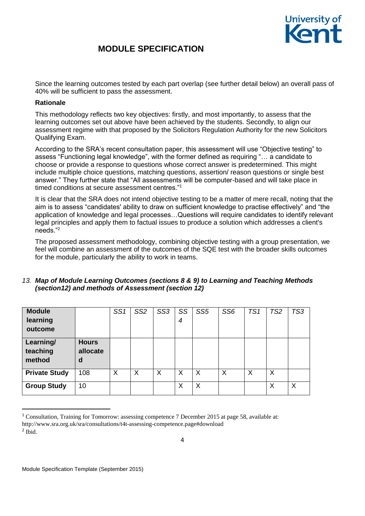

Since the learning outcomes tested by each part overlap (see further detail below) an overall pass of 40% will be sufficient to pass the assessment.

#### **Rationale**

This methodology reflects two key objectives: firstly, and most importantly, to assess that the learning outcomes set out above have been achieved by the students. Secondly, to align our assessment regime with that proposed by the Solicitors Regulation Authority for the new Solicitors Qualifying Exam.

According to the SRA's recent consultation paper, this assessment will use "Objective testing" to assess "Functioning legal knowledge", with the former defined as requiring "… a candidate to choose or provide a response to questions whose correct answer is predetermined. This might include multiple choice questions, matching questions, assertion/ reason questions or single best answer." They further state that "All assessments will be computer-based and will take place in timed conditions at secure assessment centres."<sup>1</sup>

It is clear that the SRA does not intend objective testing to be a matter of mere recall, noting that the aim is to assess "candidates' ability to draw on sufficient knowledge to practise effectively" and "the application of knowledge and legal processes…Questions will require candidates to identify relevant legal principles and apply them to factual issues to produce a solution which addresses a client's needs."<sup>2</sup>

The proposed assessment methodology, combining objective testing with a group presentation, we feel will combine an assessment of the outcomes of the SQE test with the broader skills outcomes for the module, particularly the ability to work in teams.

### *13. Map of Module Learning Outcomes (sections 8 & 9) to Learning and Teaching Methods (section12) and methods of Assessment (section 12)*

| <b>Module</b><br>learning<br>outcome |                               | SS <sub>1</sub> | SS <sub>2</sub> | SS <sub>3</sub> | SS<br>4 | SS <sub>5</sub> | SS <sub>6</sub> | TS <sub>1</sub> | TS <sub>2</sub> | TS3 |
|--------------------------------------|-------------------------------|-----------------|-----------------|-----------------|---------|-----------------|-----------------|-----------------|-----------------|-----|
| Learning/<br>teaching<br>method      | <b>Hours</b><br>allocate<br>d |                 |                 |                 |         |                 |                 |                 |                 |     |
| <b>Private Study</b>                 | 108                           | X               | X               | X               | X       | X               | X               | X               | Χ               |     |
| <b>Group Study</b>                   | 10                            |                 |                 |                 | X       | X               |                 |                 | Χ               | X   |

<sup>&</sup>lt;sup>1</sup> Consultation, Training for Tomorrow: assessing competence 7 December 2015 at page 58, available at: http://www.sra.org.uk/sra/consultations/t4t-assessing-competence.page#download 2 Ibid.

4

1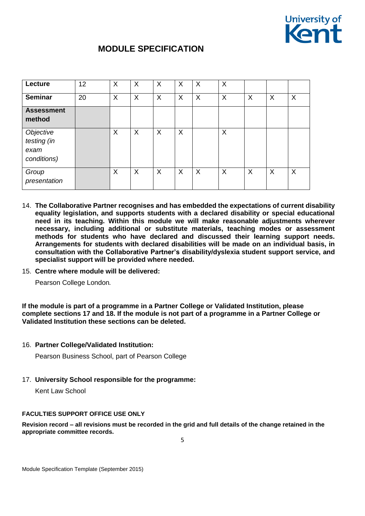

| Lecture                                         | 12 | X | X | $\boldsymbol{\mathsf{X}}$ | X | $\boldsymbol{\mathsf{X}}$ | X                         |                           |   |   |
|-------------------------------------------------|----|---|---|---------------------------|---|---------------------------|---------------------------|---------------------------|---|---|
| <b>Seminar</b>                                  | 20 | X | X | X                         | X | $\boldsymbol{\mathsf{X}}$ | $\boldsymbol{\mathsf{X}}$ | X                         | X | X |
| <b>Assessment</b><br>method                     |    |   |   |                           |   |                           |                           |                           |   |   |
| Objective<br>testing (in<br>exam<br>conditions) |    | X | X | $\times$                  | X |                           | X                         |                           |   |   |
| Group<br>presentation                           |    | X | X | X                         | X | $\sf X$                   | X                         | $\boldsymbol{\mathsf{X}}$ | X | X |

- 14. **The Collaborative Partner recognises and has embedded the expectations of current disability equality legislation, and supports students with a declared disability or special educational need in its teaching. Within this module we will make reasonable adjustments wherever necessary, including additional or substitute materials, teaching modes or assessment methods for students who have declared and discussed their learning support needs. Arrangements for students with declared disabilities will be made on an individual basis, in consultation with the Collaborative Partner's disability/dyslexia student support service, and specialist support will be provided where needed.**
- 15. **Centre where module will be delivered:**

Pearson College London*.* 

**If the module is part of a programme in a Partner College or Validated Institution, please complete sections 17 and 18. If the module is not part of a programme in a Partner College or Validated Institution these sections can be deleted.**

#### 16. **Partner College/Validated Institution:**

Pearson Business School, part of Pearson College

17. **University School responsible for the programme:**

Kent Law School

#### **FACULTIES SUPPORT OFFICE USE ONLY**

**Revision record – all revisions must be recorded in the grid and full details of the change retained in the appropriate committee records.**